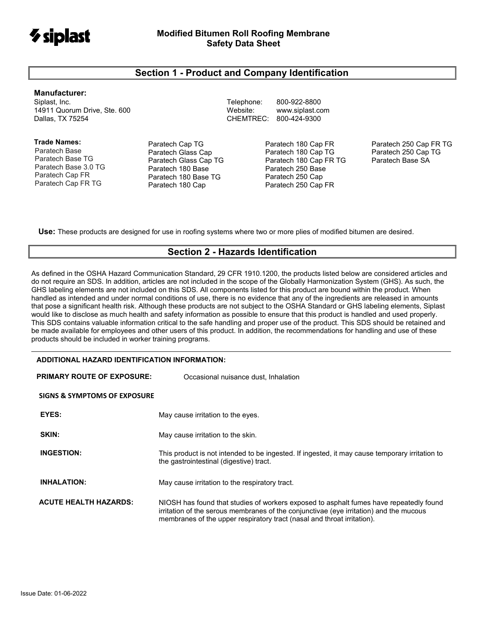

## **Section 1 - Product and Company Identification**

#### **Manufacturer:**

Siplast, Inc. Telephone: 800-922-8800 14911 Quorum Drive, Ste. 600 Website: [www.siplast.com](http://www.siplast.com/)

**Trade Names:** Paratech Base Paratech Base TG Paratech Base 3.0 TG Paratech Cap FR Paratech Cap FR TG

Paratech Cap TG Paratech Glass Cap Paratech Glass Cap TG Paratech 180 Base Paratech 180 Base TG Paratech 180 Cap

CHEMTREC: 800-424-9300

Paratech 180 Cap FR Paratech 180 Cap TG Paratech 180 Cap FR TG Paratech 250 Base Paratech 250 Cap Paratech 250 Cap FR

Paratech 250 Cap FR TG Paratech 250 Cap TG Paratech Base SA

**Use:** These products are designed for use in roofing systems where two or more plies of modified bitumen are desired.

## **Section 2 - Hazards Identification**

As defined in the OSHA Hazard Communication Standard, 29 CFR 1910.1200, the products listed below are considered articles and do not require an SDS. In addition, articles are not included in the scope of the Globally Harmonization System (GHS). As such, the GHS labeling elements are not included on this SDS. All components listed for this product are bound within the product. When handled as intended and under normal conditions of use, there is no evidence that any of the ingredients are released in amounts that pose a significant health risk. Although these products are not subject to the OSHA Standard or GHS labeling elements, Siplast would like to disclose as much health and safety information as possible to ensure that this product is handled and used properly. This SDS contains valuable information critical to the safe handling and proper use of the product. This SDS should be retained and be made available for employees and other users of this product. In addition, the recommendations for handling and use of these products should be included in worker training programs.

#### **ADDITIONAL HAZARD IDENTIFICATION INFORMATION:**

| <b>PRIMARY ROUTE OF EXPOSURE:</b> | Occasional nuisance dust, Inhalation                                                                                                                                                                                                                        |  |  |  |
|-----------------------------------|-------------------------------------------------------------------------------------------------------------------------------------------------------------------------------------------------------------------------------------------------------------|--|--|--|
| SIGNS & SYMPTOMS OF EXPOSURE      |                                                                                                                                                                                                                                                             |  |  |  |
| EYES:                             | May cause irritation to the eyes.                                                                                                                                                                                                                           |  |  |  |
| SKIN:                             | May cause irritation to the skin.                                                                                                                                                                                                                           |  |  |  |
| <b>INGESTION:</b>                 | This product is not intended to be ingested. If ingested, it may cause temporary irritation to<br>the gastrointestinal (digestive) tract.                                                                                                                   |  |  |  |
| <b>INHALATION:</b>                | May cause irritation to the respiratory tract.                                                                                                                                                                                                              |  |  |  |
| <b>ACUTE HEALTH HAZARDS:</b>      | NIOSH has found that studies of workers exposed to asphalt fumes have repeatedly found<br>irritation of the serous membranes of the conjunctivae (eye irritation) and the mucous<br>membranes of the upper respiratory tract (nasal and throat irritation). |  |  |  |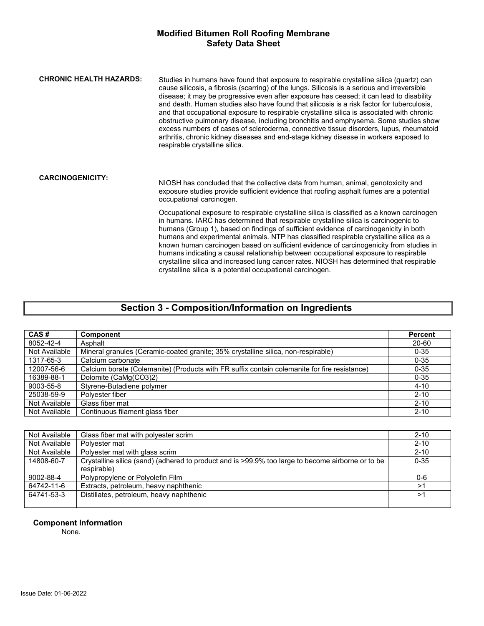| <b>CHRONIC HEALTH HAZARDS:</b> | Studies in humans have found that exposure to respirable crystalline silica (quartz) can<br>cause silicosis, a fibrosis (scarring) of the lungs. Silicosis is a serious and irreversible<br>disease; it may be progressive even after exposure has ceased; it can lead to disability<br>and death. Human studies also have found that silicosis is a risk factor for tuberculosis,<br>and that occupational exposure to respirable crystalline silica is associated with chronic<br>obstructive pulmonary disease, including bronchitis and emphysema. Some studies show<br>excess numbers of cases of scleroderma, connective tissue disorders, lupus, rheumatoid<br>arthritis, chronic kidney diseases and end-stage kidney disease in workers exposed to<br>respirable crystalline silica. |
|--------------------------------|-----------------------------------------------------------------------------------------------------------------------------------------------------------------------------------------------------------------------------------------------------------------------------------------------------------------------------------------------------------------------------------------------------------------------------------------------------------------------------------------------------------------------------------------------------------------------------------------------------------------------------------------------------------------------------------------------------------------------------------------------------------------------------------------------|
| <b>CARCINOGENICITY:</b>        | NIOSH has concluded that the collective data from human, animal, genotoxicity and<br>exposure studies provide sufficient evidence that roofing asphalt fumes are a potential<br>occupational carcinogen.                                                                                                                                                                                                                                                                                                                                                                                                                                                                                                                                                                                      |
|                                | Occupational exposure to respirable crystalline silica is classified as a known carcinogen<br>in humans. IARC has determined that respirable crystalline silica is carcinogenic to<br>humans (Group 1), based on findings of sufficient evidence of carcinogenicity in both<br>humans and experimental animals. NTP has classified respirable crystalline silica as a<br>known human carcinogen based on sufficient evidence of carcinogenicity from studies in<br>humans indicating a causal relationship between occupational exposure to respirable<br>crystalline silica and increased lung cancer rates. NIOSH has determined that respirable<br>crystalline silica is a potential occupational carcinogen.                                                                              |

# **Section 3 - Composition/Information on Ingredients**

| CAS#          | <b>Component</b>                                                                             | <b>Percent</b> |
|---------------|----------------------------------------------------------------------------------------------|----------------|
| 8052-42-4     | Asphalt                                                                                      | 20-60          |
| Not Available | Mineral granules (Ceramic-coated granite; 35% crystalline silica, non-respirable)            | $0 - 35$       |
| 1317-65-3     | Calcium carbonate                                                                            | $0 - 35$       |
| 12007-56-6    | Calcium borate (Colemanite) (Products with FR suffix contain colemanite for fire resistance) | $0 - 35$       |
| 16389-88-1    | Dolomite (CaMg(CO3)2)                                                                        | $0 - 35$       |
| 9003-55-8     | Styrene-Butadiene polymer                                                                    | $4 - 10$       |
| 25038-59-9    | Polyester fiber                                                                              | $2 - 10$       |
| Not Available | Glass fiber mat                                                                              | $2 - 10$       |
| Not Available | Continuous filament glass fiber                                                              | $2 - 10$       |

| Not Available | Glass fiber mat with polyester scrim                                                                             |          |
|---------------|------------------------------------------------------------------------------------------------------------------|----------|
| Not Available | Polvester mat                                                                                                    | $2 - 10$ |
| Not Available | Polyester mat with glass scrim                                                                                   | $2 - 10$ |
| 14808-60-7    | Crystalline silica (sand) (adhered to product and is >99.9% too large to become airborne or to be<br>respirable) | $0 - 35$ |
| 9002-88-4     | Polypropylene or Polyolefin Film                                                                                 | 0-6      |
| 64742-11-6    | Extracts, petroleum, heavy naphthenic                                                                            | >1       |
| 64741-53-3    | Distillates, petroleum, heavy naphthenic                                                                         | >1       |
|               |                                                                                                                  |          |

## **Component Information**

None.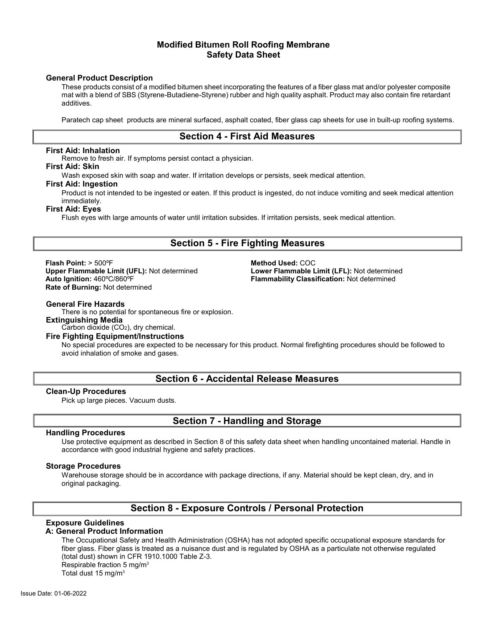#### **General Product Description**

These products consist of a modified bitumen sheet incorporating the features of a fiber glass mat and/or polyester composite mat with a blend of SBS (Styrene-Butadiene-Styrene) rubber and high quality asphalt. Product may also contain fire retardant additives.

Paratech cap sheet products are mineral surfaced, asphalt coated, fiber glass cap sheets for use in built-up roofing systems.

## **Section 4 - First Aid Measures**

#### **First Aid: Inhalation**

Remove to fresh air. If symptoms persist contact a physician.

#### **First Aid: Skin**

Wash exposed skin with soap and water. If irritation develops or persists, seek medical attention.

#### **First Aid: Ingestion**

Product is not intended to be ingested or eaten. If this product is ingested, do not induce vomiting and seek medical attention immediately.

#### **First Aid: Eyes**

Flush eyes with large amounts of water until irritation subsides. If irritation persists, seek medical attention.

## **Section 5 - Fire Fighting Measures**

**Flash Point:** > 500°F<br> **Upper Flammable Limit (UFL):** Not determined **All and School Lower Flammable L Upper Flammable Limit (UFL):** Not determined **Lower Flammable Limit (LFL):** Not determined **Auto Ignition:** 460°C/860°F **Rate of Burning:** Not determined

**Flammability Classification: Not determined** 

#### **General Fire Hazards**

There is no potential for spontaneous fire or explosion. **Extinguishing Media**

Carbon dioxide (CO2), dry chemical.

## **Fire Fighting Equipment/Instructions**

No special procedures are expected to be necessary for this product. Normal firefighting procedures should be followed to avoid inhalation of smoke and gases.

## **Section 6 - Accidental Release Measures**

#### **Clean-Up Procedures**

Pick up large pieces. Vacuum dusts.

## **Section 7 - Handling and Storage**

#### **Handling Procedures**

Use protective equipment as described in Section 8 of this safety data sheet when handling uncontained material. Handle in accordance with good industrial hygiene and safety practices.

#### **Storage Procedures**

Warehouse storage should be in accordance with package directions, if any. Material should be kept clean, dry, and in original packaging.

## **Section 8 - Exposure Controls / Personal Protection**

## **Exposure Guidelines**

#### **A: General Product Information**

The Occupational Safety and Health Administration (OSHA) has not adopted specific occupational exposure standards for fiber glass. Fiber glass is treated as a nuisance dust and is regulated by OSHA as a particulate not otherwise regulated (total dust) shown in CFR 1910.1000 Table Z-3. Respirable fraction 5 mg/m3 Total dust 15 mg/m3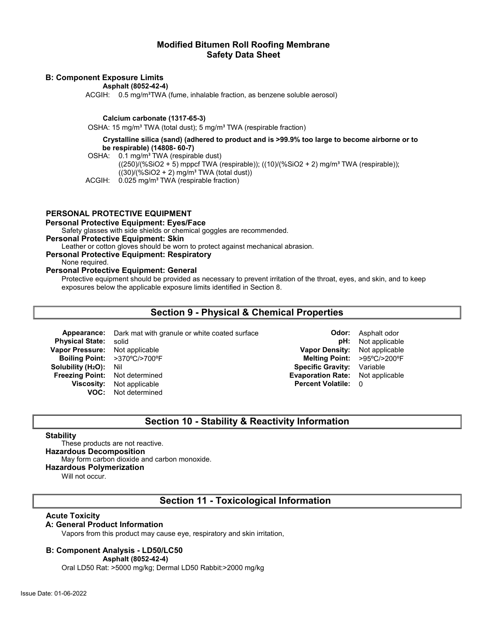#### **B: Component Exposure Limits**

**Asphalt (8052-42-4)**

ACGIH: 0.5 mg/m<sup>3</sup>TWA (fume, inhalable fraction, as benzene soluble aerosol)

#### **Calcium carbonate (1317-65-3)**

OSHA: 15 mg/m<sup>3</sup> TWA (total dust); 5 mg/m<sup>3</sup> TWA (respirable fraction)

#### **Crystalline silica (sand) (adhered to product and is >99.9% too large to become airborne or to be respirable) (14808- 60-7)**

OSHA: 0.1 mg/m<sup>3</sup> TWA (respirable dust)

 $((250)/(%SiO2 + 5)$  mppcf TWA (respirable));  $((10)/(%SiO2 + 2)$  mg/m<sup>3</sup> TWA (respirable));  $((30)/(%SiO2 + 2)$  mg/m<sup>3</sup> TWA (total dust))

ACGIH: 0.025 mg/m<sup>3</sup> TWA (respirable fraction)

#### **PERSONAL PROTECTIVE EQUIPMENT**

#### **Personal Protective Equipment: Eyes/Face**

Safety glasses with side shields or chemical goggles are recommended.

#### **Personal Protective Equipment: Skin**

Leather or cotton gloves should be worn to protect against mechanical abrasion.

#### **Personal Protective Equipment: Respiratory**

None required.

## **Personal Protective Equipment: General**

Protective equipment should be provided as necessary to prevent irritation of the throat, eyes, and skin, and to keep exposures below the applicable exposure limits identified in Section 8.

## **Section 9 - Physical & Chemical Properties**

**Appearance:** Dark mat with granule or white coated surface **Call Contemporary Codor:** Asphalt odor

**VOC:** Not determined

**Physical State:** solid **physical State:** solid **physical State:** solid **physical State:** solid **physical state: physical state: physical state: physical state: physical state: physical state: physical state: Vapor Pressure:** Not applicable **Vapor Density:** Not applicable **Boiling Point:** >370ºC/>700ºF **Melting Point:** >95ºC/>200ºF **Solubility (H2O):** Nil **Specific Gravity:** Variable **Freezing Point:** Not determined **Evaporation Rate:** Not applicable **Viscosity:** Not applicable **Percent Volatile:** 0

## **Section 10 - Stability & Reactivity Information**

#### **Stability**

These products are not reactive.

## **Hazardous Decomposition**

May form carbon dioxide and carbon monoxide.

#### **Hazardous Polymerization**

Will not occur.

## **Section 11 - Toxicological Information**

#### **Acute Toxicity**

#### **A: General Product Information**

Vapors from this product may cause eye, respiratory and skin irritation,

#### **B: Component Analysis - LD50/LC50**

**Asphalt (8052-42-4)**

Oral LD50 Rat: >5000 mg/kg; Dermal LD50 Rabbit:>2000 mg/kg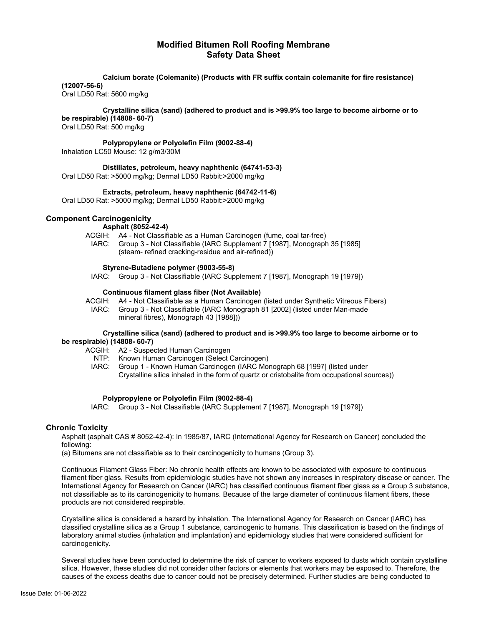**Calcium borate (Colemanite) (Products with FR suffix contain colemanite for fire resistance)** 

**(12007-56-6)**

Oral LD50 Rat: 5600 mg/kg

**Crystalline silica (sand) (adhered to product and is >99.9% too large to become airborne or to be respirable) (14808- 60-7)**

Oral LD50 Rat: 500 mg/kg

**Polypropylene or Polyolefin Film (9002-88-4)** Inhalation LC50 Mouse: 12 g/m3/30M

**Distillates, petroleum, heavy naphthenic (64741-53-3)** Oral LD50 Rat: >5000 mg/kg; Dermal LD50 Rabbit:>2000 mg/kg

**Extracts, petroleum, heavy naphthenic (64742-11-6)**

Oral LD50 Rat: >5000 mg/kg; Dermal LD50 Rabbit:>2000 mg/kg

#### **Component Carcinogenicity**

- **Asphalt (8052-42-4)**
- ACGIH: A4 Not Classifiable as a Human Carcinogen (fume, coal tar-free)
	- IARC: Group 3 Not Classifiable (IARC Supplement 7 [1987], Monograph 35 [1985] (steam- refined cracking-residue and air-refined))

#### **Styrene-Butadiene polymer (9003-55-8)**

IARC: Group 3 - Not Classifiable (IARC Supplement 7 [1987], Monograph 19 [1979])

#### **Continuous filament glass fiber (Not Available)**

ACGIH: A4 - Not Classifiable as a Human Carcinogen (listed under Synthetic Vitreous Fibers) IARC: Group 3 - Not Classifiable (IARC Monograph 81 [2002] (listed under Man-made mineral fibres), Monograph 43 [1988]))

#### **Crystalline silica (sand) (adhered to product and is >99.9% too large to become airborne or to be respirable) (14808- 60-7)**

- ACGIH: A2 Suspected Human Carcinogen
	- NTP: Known Human Carcinogen (Select Carcinogen)
	- IARC: Group 1 Known Human Carcinogen (IARC Monograph 68 [1997] (listed under Crystalline silica inhaled in the form of quartz or cristobalite from occupational sources))

#### **Polypropylene or Polyolefin Film (9002-88-4)**

IARC: Group 3 - Not Classifiable (IARC Supplement 7 [1987], Monograph 19 [1979])

#### **Chronic Toxicity**

Asphalt (asphalt CAS # 8052-42-4): In 1985/87, IARC (International Agency for Research on Cancer) concluded the following:

(a) Bitumens are not classifiable as to their carcinogenicity to humans (Group 3).

Continuous Filament Glass Fiber: No chronic health effects are known to be associated with exposure to continuous filament fiber glass. Results from epidemiologic studies have not shown any increases in respiratory disease or cancer. The International Agency for Research on Cancer (IARC) has classified continuous filament fiber glass as a Group 3 substance, not classifiable as to its carcinogenicity to humans. Because of the large diameter of continuous filament fibers, these products are not considered respirable.

Crystalline silica is considered a hazard by inhalation. The International Agency for Research on Cancer (IARC) has classified crystalline silica as a Group 1 substance, carcinogenic to humans. This classification is based on the findings of laboratory animal studies (inhalation and implantation) and epidemiology studies that were considered sufficient for carcinogenicity.

Several studies have been conducted to determine the risk of cancer to workers exposed to dusts which contain crystalline silica. However, these studies did not consider other factors or elements that workers may be exposed to. Therefore, the causes of the excess deaths due to cancer could not be precisely determined. Further studies are being conducted to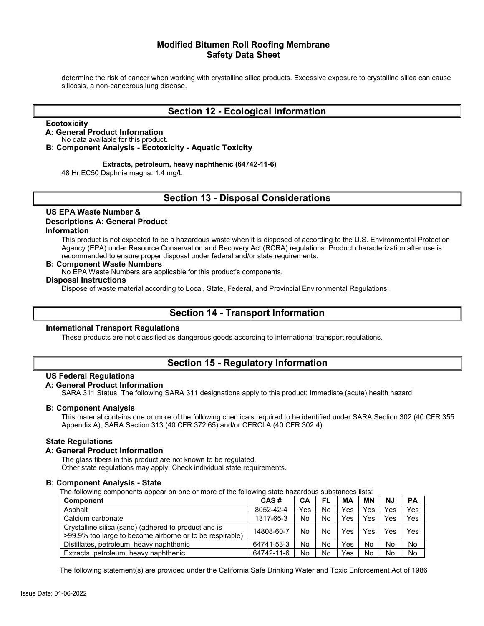determine the risk of cancer when working with crystalline silica products. Excessive exposure to crystalline silica can cause silicosis, a non-cancerous lung disease.

## **Section 12 - Ecological Information**

#### **Ecotoxicity**

## **A: General Product Information**

No data available for this product.

**B: Component Analysis - Ecotoxicity - Aquatic Toxicity**

#### **Extracts, petroleum, heavy naphthenic (64742-11-6)**

48 Hr EC50 Daphnia magna: 1.4 mg/L

## **Section 13 - Disposal Considerations**

#### **US EPA Waste Number & Descriptions A: General Product Information**

This product is not expected to be a hazardous waste when it is disposed of according to the U.S. Environmental Protection Agency (EPA) under Resource Conservation and Recovery Act (RCRA) regulations. Product characterization after use is recommended to ensure proper disposal under federal and/or state requirements.

#### **B: Component Waste Numbers**

No EPA Waste Numbers are applicable for this product's components.

## **Disposal Instructions**

Dispose of waste material according to Local, State, Federal, and Provincial Environmental Regulations.

## **Section 14 - Transport Information**

#### **International Transport Regulations**

These products are not classified as dangerous goods according to international transport regulations.

## **Section 15 - Regulatory Information**

#### **US Federal Regulations**

#### **A: General Product Information**

SARA 311 Status. The following SARA 311 designations apply to this product: Immediate (acute) health hazard.

#### **B: Component Analysis**

This material contains one or more of the following chemicals required to be identified under SARA Section 302 (40 CFR 355 Appendix A), SARA Section 313 (40 CFR 372.65) and/or CERCLA (40 CFR 302.4).

#### **State Regulations**

#### **A: General Product Information**

The glass fibers in this product are not known to be regulated.

Other state regulations may apply. Check individual state requirements.

#### **B: Component Analysis - State**

The following components appear on one or more of the following state hazardous substances lists:

| <b>Component</b>                                                                                                 | CAS#       | CА  | FL | МA  | ΜN  | <b>NJ</b> | <b>PA</b> |
|------------------------------------------------------------------------------------------------------------------|------------|-----|----|-----|-----|-----------|-----------|
| Asphalt                                                                                                          | 8052-42-4  | Yes | No | Yes | Yes | Yes       | Yes       |
| Calcium carbonate                                                                                                | 1317-65-3  | No  | No | Yes | Yes | Yes       | Yes       |
| Crystalline silica (sand) (adhered to product and is<br>>99.9% too large to become airborne or to be respirable) | 14808-60-7 | No  | No | Yes | Yes | Yes       | Yes       |
| Distillates, petroleum, heavy naphthenic                                                                         | 64741-53-3 | No  | No | Yes | No  | No        | No        |
| Extracts, petroleum, heavy naphthenic                                                                            | 64742-11-6 | No  | No | Yes | No  | No        | No        |

The following statement(s) are provided under the California Safe Drinking Water and Toxic Enforcement Act of 1986